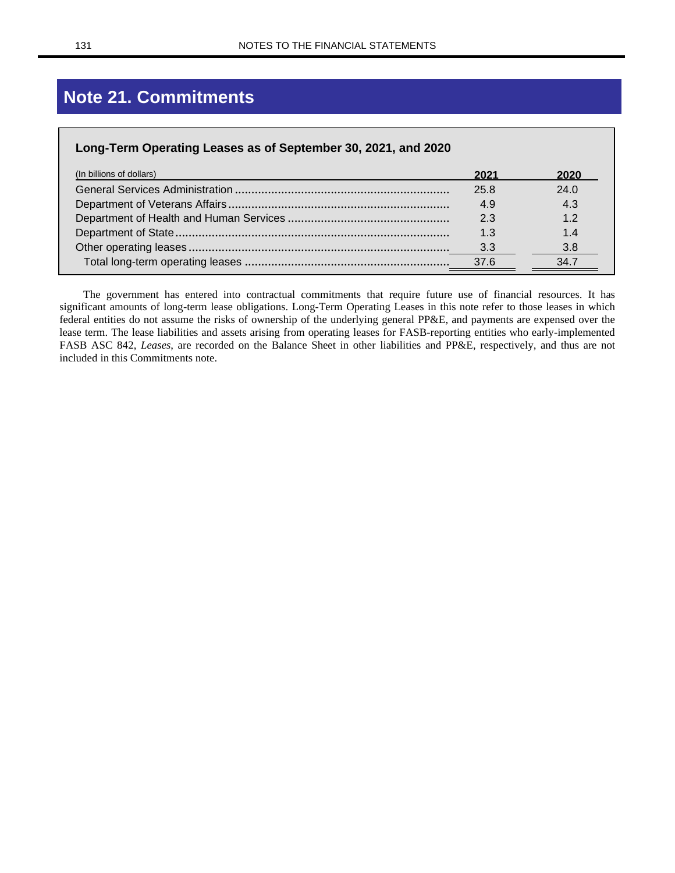# **Note 21. Commitments**

| Long-Term Operating Leases as of September 30, 2021, and 2020 |      |      |  |
|---------------------------------------------------------------|------|------|--|
| (In billions of dollars)                                      | 2021 | 2020 |  |
|                                                               | 25.8 | 24.0 |  |
|                                                               | 4.9  | 4.3  |  |
|                                                               | 2.3  | 1.2  |  |
|                                                               |      |      |  |
|                                                               | 3.3  | 3.8  |  |
|                                                               | 37.6 | 34.7 |  |

The government has entered into contractual commitments that require future use of financial resources. It has significant amounts of long-term lease obligations. Long-Term Operating Leases in this note refer to those leases in which federal entities do not assume the risks of ownership of the underlying general PP&E, and payments are expensed over the lease term. The lease liabilities and assets arising from operating leases for FASB-reporting entities who early-implemented FASB ASC 842, *Leases*, are recorded on the Balance Sheet in other liabilities and PP&E, respectively, and thus are not included in this Commitments note.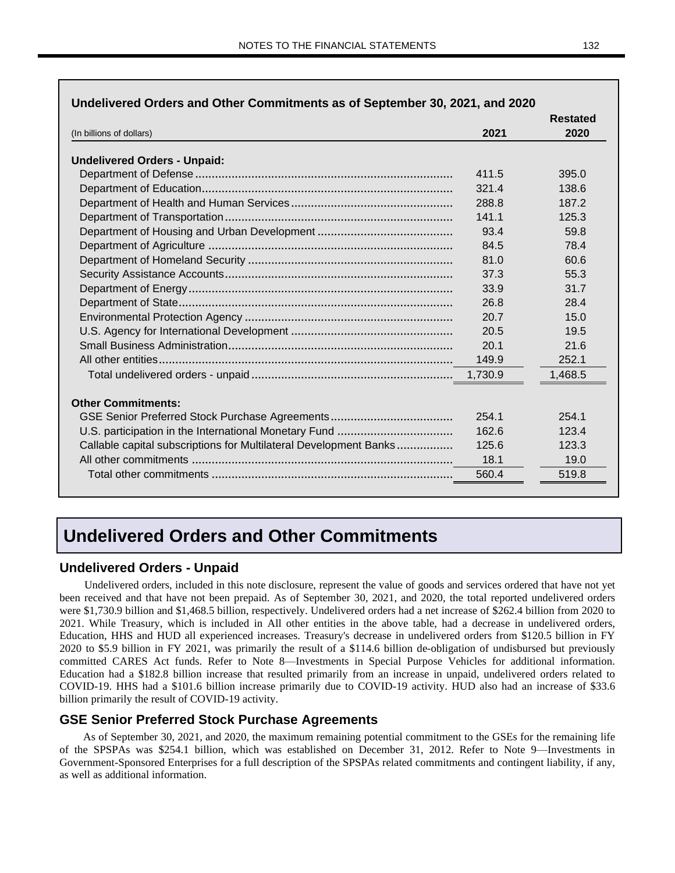| (In billions of dollars)                                          |         | <b>Restated</b><br>2020 |
|-------------------------------------------------------------------|---------|-------------------------|
|                                                                   | 2021    |                         |
| <b>Undelivered Orders - Unpaid:</b>                               |         |                         |
|                                                                   | 411.5   | 395.0                   |
|                                                                   | 321.4   | 138.6                   |
|                                                                   | 288.8   | 187.2                   |
|                                                                   | 141.1   | 125.3                   |
|                                                                   | 93.4    | 59.8                    |
|                                                                   | 84.5    | 78.4                    |
|                                                                   | 81.0    | 60.6                    |
|                                                                   | 37.3    | 55.3                    |
|                                                                   | 33.9    | 31.7                    |
|                                                                   | 26.8    | 28.4                    |
|                                                                   | 20.7    | 15.0                    |
|                                                                   | 20.5    | 19.5                    |
|                                                                   | 20.1    | 21.6                    |
|                                                                   | 149.9   | 252.1                   |
|                                                                   | 1,730.9 | 1,468.5                 |
| <b>Other Commitments:</b>                                         |         |                         |
|                                                                   | 254.1   | 254.1                   |
|                                                                   | 162.6   | 123.4                   |
| Callable capital subscriptions for Multilateral Development Banks | 125.6   | 123.3                   |
|                                                                   | 18.1    | 19.0                    |
|                                                                   | 560.4   | 519.8                   |

### **Undelivered Orders and Other Commitments**

#### **Undelivered Orders - Unpaid**

Undelivered orders, included in this note disclosure, represent the value of goods and services ordered that have not yet been received and that have not been prepaid. As of September 30, 2021, and 2020, the total reported undelivered orders were \$1,730.9 billion and \$1,468.5 billion, respectively. Undelivered orders had a net increase of \$262.4 billion from 2020 to 2021. While Treasury, which is included in All other entities in the above table, had a decrease in undelivered orders, Education, HHS and HUD all experienced increases. Treasury's decrease in undelivered orders from \$120.5 billion in FY 2020 to \$5.9 billion in FY 2021, was primarily the result of a \$114.6 billion de-obligation of undisbursed but previously committed CARES Act funds. Refer to Note 8—Investments in Special Purpose Vehicles for additional information. Education had a \$182.8 billion increase that resulted primarily from an increase in unpaid, undelivered orders related to COVID-19. HHS had a \$101.6 billion increase primarily due to COVID-19 activity. HUD also had an increase of \$33.6 billion primarily the result of COVID-19 activity.

#### **GSE Senior Preferred Stock Purchase Agreements**

As of September 30, 2021, and 2020, the maximum remaining potential commitment to the GSEs for the remaining life of the SPSPAs was \$254.1 billion, which was established on December 31, 2012. Refer to Note 9—Investments in Government-Sponsored Enterprises for a full description of the SPSPAs related commitments and contingent liability, if any, as well as additional information.